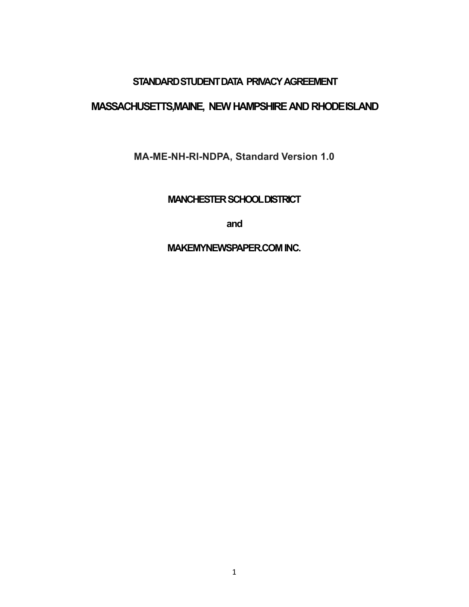## **STANDARD STUDENT DATA PRIVACY AGREEMENT**

## **MASSACHUSETTS,MAINE, NEWHAMPSHIREAND RHODEISLAND**

**MA-ME-NH-RI-NDPA, Standard Version 1.0**

**MANCHESTER SCHOOLDISTRICT** 

**and**

**MAKEMYNEWSPAPER.COMINC.**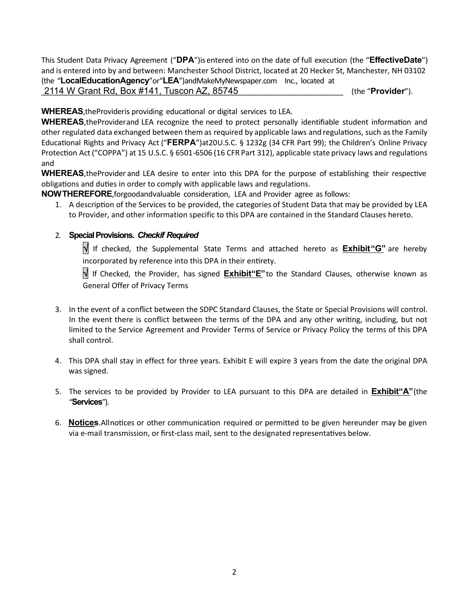This Student Data Privacy Agreement ("**DPA**")is entered into on the date of full execution (the "**EffectiveDate**") and is entered into by and between: Manchester School District, located at 20 Hecker St, Manchester, NH 03102 (the "**LocalEducationAgency**"or"**LEA**")andMakeMyNewspaper.com Inc., located at

2114 W Grant Rd, Box #141, Tuscon AZ, 85745 **Canadian and Contact Contact** (the "**Provider**").

**WHEREAS**, the Provider is providing educational or digital services to LEA.

WHEREAS, the Providerand LEA recognize the need to protect personally identifiable student information and other regulated data exchanged between them as required by applicable laws and regulations, such as the Family Educational Rights and Privacy Act ("FERPA")at20U.S.C. § 1232g (34 CFR Part 99); the Children's Online Privacy Protection Act ("COPPA") at 15 U.S.C. § 6501-6506 (16 CFR Part 312), applicable state privacy laws and regulations and

**WHEREAS**, the Provider and LEA desire to enter into this DPA for the purpose of establishing their respective obligations and duties in order to comply with applicable laws and regulations.

**NOWTHEREFORE**,forgoodandvaluable consideration, LEA and Provider agree as follows:

1. A description of the Services to be provided, the categories of Student Data that may be provided by LEA to Provider, and other information specific to this DPA are contained in the Standard Clauses hereto.

#### 2. **SpecialProvisions.** *Checkif Required*

� If checked, the Supplemental State Terms and attached hereto as **Exhibit"G"** are hereby incorporated by reference into this DPA in their entirety.

� If Checked, the Provider, has signed **Exhibit"E"**to the Standard Clauses, otherwise known as General Offer of Privacy Terms

- 3. In the event of a conflict between the SDPC Standard Clauses, the State or Special Provisions will control. In the event there is conflict between the terms of the DPA and any other writing, including, but not limited to the Service Agreement and Provider Terms of Service or Privacy Policy the terms of this DPA shall control.
- 4. This DPA shall stay in effect for three years. Exhibit E will expire 3 years from the date the original DPA was signed.
- 5. The services to be provided by Provider to LEA pursuant to this DPA are detailed in **Exhibit"A"**(the "**Services**").
- 6. **Notices**.Allno�ces or other communication required or permitted to be given hereunder may be given via e-mail transmission, or first-class mail, sent to the designated representatives below.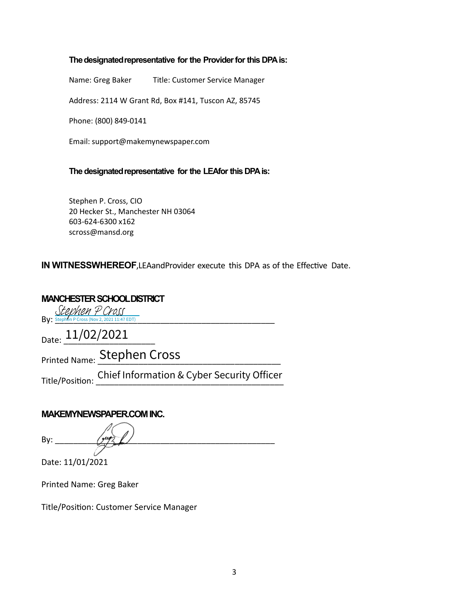#### **The designated representative for the Provider for this DPA is:**

Name: Greg Baker Title: Customer Service Manager

Address: 2114 W Grant Rd, Box #141, Tuscon AZ, 85745

Phone: (800) 849-0141

Email: support@makemynewspaper.com

#### **The designated representative for the LEAfor this DPA is:**

Stephen P. Cross, CIO 20 Hecker St., Manchester NH 03064 603-624-6300 x162 scross@mansd.org

**IN WITNESSWHEREOF, LEAandProvider execute this DPA as of the Effective Date.** 

## **MANCHESTER SCHOOLDISTRICT**

 $\text{By: } \frac{\text{Stem} \times \text{Stem} \times \text{Stem} \times \text{Stem} \times \text{Stem} \times \text{Stem} \times \text{Stem}}{ \text{Byl} \times \text{Stem} \times \text{Stem} \times \text{Stem} \times \text{Stem} \times \text{Stem} \times \text{Stem} \times \text{Stem} \times \text{Stem} \times \text{Stem} \times \text{Stem} \times \text{Stem} \times \text{Stem} \times \text{Stem} \times \text{Stem} \times \text{Stem} \times \text{Stem} \times \text{Stem} \times \text{Stem} \times \text{Stem$ 

Date: 11/02/2021

Printed Name: \_\_\_\_\_\_\_\_\_\_\_\_\_\_\_\_\_\_\_\_\_\_\_\_\_\_\_\_\_\_\_\_\_\_\_\_\_\_\_\_ Stephen Cross 11/02/2021

Title/Position: Chief Information & Cyber Security Officer<br>—————————————————————————————

#### **MAKEMYNEWSPAPER.COMINC.**

By: \_\_\_\_\_\_\_\_\_\_\_\_\_\_\_\_\_\_\_\_\_\_\_\_\_\_\_\_\_\_\_\_\_\_\_\_\_\_\_\_\_\_\_\_\_\_\_\_

Date: 11/01/2021

Printed Name: Greg Baker

Title/Position: Customer Service Manager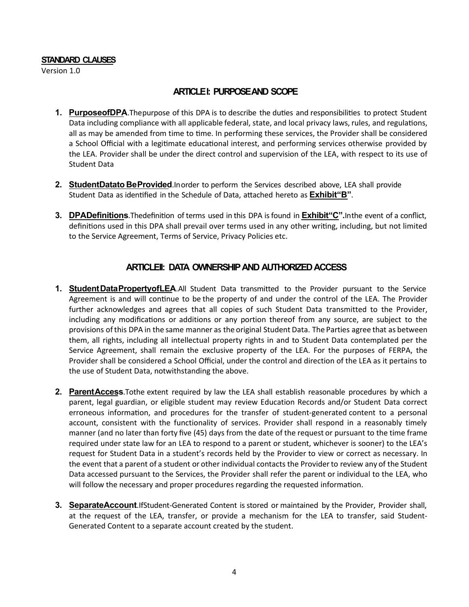#### **STANDARD CLAUSES**

Version 1.0

#### **ARTICLEI: PURPOSEAND SCOPE**

- **1. PurposeofDPA**. The purpose of this DPA is to describe the duties and responsibilities to protect Student Data including compliance with all applicable federal, state, and local privacy laws, rules, and regulations, all as may be amended from time to time. In performing these services, the Provider shall be considered a School Official with a legitimate educational interest, and performing services otherwise provided by the LEA. Provider shall be under the direct control and supervision of the LEA, with respect to its use of Student Data
- **2. StudentDatato BeProvided**.Inorder to perform the Services described above, LEA shall provide Student Data as iden�fied in the Schedule of Data, a�ached hereto as **Exhibit"B"**.
- **3. DPADefinitions**.Thedefinition of terms used in this DPA is found in **Exhibit**"C".In the event of a conflict, definitions used in this DPA shall prevail over terms used in any other writing, including, but not limited to the Service Agreement, Terms of Service, Privacy Policies etc.

#### **ARTICLEII: DATA OWNERSHIPAND AUTHORIZEDACCESS**

- **1. StudentDataPropertyofLEA**.All Student Data transmitted to the Provider pursuant to the Service Agreement is and will continue to be the property of and under the control of the LEA. The Provider further acknowledges and agrees that all copies of such Student Data transmitted to the Provider, including any modifications or additions or any portion thereof from any source, are subject to the provisions ofthis DPA in the same manner as the original Student Data. The Parties agree that as between them, all rights, including all intellectual property rights in and to Student Data contemplated per the Service Agreement, shall remain the exclusive property of the LEA. For the purposes of FERPA, the Provider shall be considered a School Official, under the control and direction of the LEA as it pertains to the use of Student Data, notwithstanding the above.
- **2. ParentAccess**.Tothe extent required by law the LEA shall establish reasonable procedures by which a parent, legal guardian, or eligible student may review Education Records and/or Student Data correct erroneous information, and procedures for the transfer of student-generated content to a personal account, consistent with the functionality of services. Provider shall respond in a reasonably timely manner (and no later than forty five (45) days from the date of the request or pursuant to the time frame required under state law for an LEA to respond to a parent or student, whichever is sooner) to the LEA's request for Student Data in a student's records held by the Provider to view or correct as necessary. In the event that a parent of a student or other individual contacts the Providerto review any of the Student Data accessed pursuant to the Services, the Provider shall refer the parent or individual to the LEA, who will follow the necessary and proper procedures regarding the requested information.
- **3. SeparateAccount**.IfStudent-Generated Content is stored or maintained by the Provider, Provider shall, at the request of the LEA, transfer, or provide a mechanism for the LEA to transfer, said Student-Generated Content to a separate account created by the student.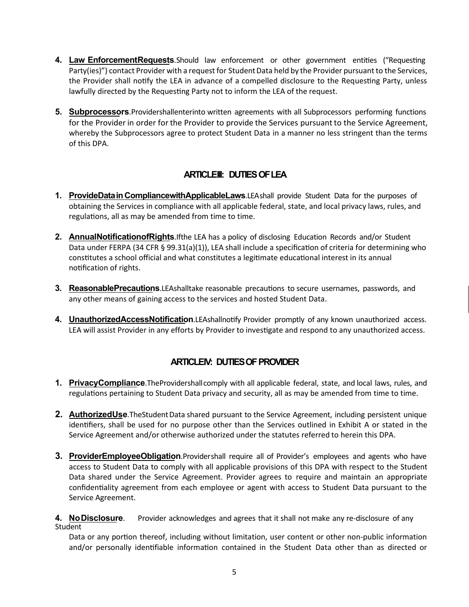- **4. Law EnforcementRequests**.Should law enforcement or other government entities ("Requesting Party(ies)") contact Provider with a request for Student Data held by the Provider pursuant to the Services, the Provider shall notify the LEA in advance of a compelled disclosure to the Requesting Party, unless lawfully directed by the Requesting Party not to inform the LEA of the request.
- **5. Subprocessors**.Providershallenterinto written agreements with all Subprocessors performing functions for the Provider in order for the Provider to provide the Services pursuant to the Service Agreement, whereby the Subprocessors agree to protect Student Data in a manner no less stringent than the terms of this DPA.

## **ARTICLEIII: DUTIESOFLEA**

- **1. ProvideDatain CompliancewithApplicableLaws**.LEAshall provide Student Data for the purposes of obtaining the Services in compliance with all applicable federal, state, and local privacy laws, rules, and regulations, all as may be amended from time to time.
- **2. AnnualNotificationofRights**.Ifthe LEA has a policy of disclosing Education Records and/or Student Data under FERPA (34 CFR § 99.31(a)(1)), LEA shall include a specification of criteria for determining who constitutes a school official and what constitutes a legitimate educational interest in its annual notification of rights.
- **3. ReasonablePrecautions**.LEAshalltake reasonable precautions to secure usernames, passwords, and any other means of gaining access to the services and hosted Student Data.
- **4. UnauthorizedAccessNotification**.LEAshallno�fy Provider promptly of any known unauthorized access. LEA will assist Provider in any efforts by Provider to investigate and respond to any unauthorized access.

### **ARTICLEIV: DUTIES OF PROVIDER**

- **1. PrivacyCompliance**.TheProvidershallcomply with all applicable federal, state, and local laws, rules, and regulations pertaining to Student Data privacy and security, all as may be amended from time to time.
- **2. AuthorizedUse**.TheStudentData shared pursuant to the Service Agreement, including persistent unique identifiers, shall be used for no purpose other than the Services outlined in Exhibit A or stated in the Service Agreement and/or otherwise authorized under the statutes referred to herein this DPA.
- **3. ProviderEmployeeObligation**.Providershall require all of Provider's employees and agents who have access to Student Data to comply with all applicable provisions of this DPA with respect to the Student Data shared under the Service Agreement. Provider agrees to require and maintain an appropriate confidentiality agreement from each employee or agent with access to Student Data pursuant to the Service Agreement.

**4. NoDisclosure**. Provider acknowledges and agrees that it shall not make any re-disclosure of any Student

Data or any portion thereof, including without limitation, user content or other non-public information and/or personally identifiable information contained in the Student Data other than as directed or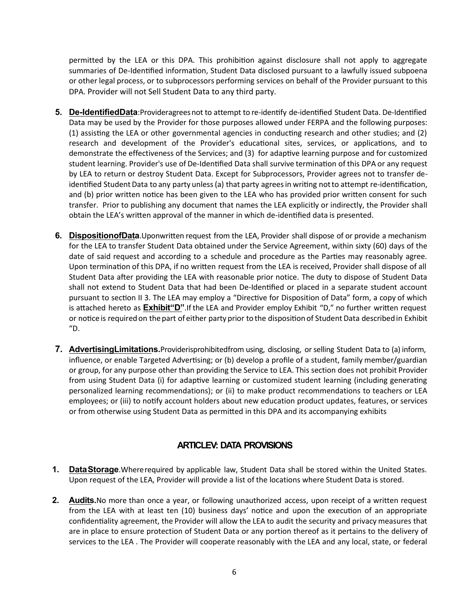permitted by the LEA or this DPA. This prohibition against disclosure shall not apply to aggregate summaries of De-Identified information, Student Data disclosed pursuant to a lawfully issued subpoena or other legal process, or to subprocessors performing services on behalf of the Provider pursuant to this DPA. Provider will not Sell Student Data to any third party.

- **5. De-IdentifiedData**: Provideragrees not to attempt to re-identify de-identified Student Data. De-Identified Data may be used by the Provider for those purposes allowed under FERPA and the following purposes:  $(1)$  assisting the LEA or other governmental agencies in conducting research and other studies; and  $(2)$ research and development of the Provider's educational sites, services, or applications, and to demonstrate the effectiveness of the Services; and (3) for adaptive learning purpose and for customized student learning. Provider's use of De-Identified Data shall survive termination of this DPA or any request by LEA to return or destroy Student Data. Except for Subprocessors, Provider agrees not to transfer deidentified Student Data to any party unless (a) that party agrees in writing not to attempt re-identification, and (b) prior written notice has been given to the LEA who has provided prior written consent for such transfer. Prior to publishing any document that names the LEA explicitly or indirectly, the Provider shall obtain the LEA's written approval of the manner in which de-identified data is presented.
- **6.** DispositionofData.Uponwritten request from the LEA, Provider shall dispose of or provide a mechanism for the LEA to transfer Student Data obtained under the Service Agreement, within sixty (60) days of the date of said request and according to a schedule and procedure as the Parties may reasonably agree. Upon termination of this DPA, if no written request from the LEA is received, Provider shall dispose of all Student Data after providing the LEA with reasonable prior notice. The duty to dispose of Student Data shall not extend to Student Data that had been De-Iden�fied or placed in a separate student account pursuant to section II 3. The LEA may employ a "Directive for Disposition of Data" form, a copy of which is attached hereto as **Exhibit"D**". If the LEA and Provider employ Exhibit "D," no further written request or notice is required on the part of either party prior to the disposition of Student Data described in Exhibit "D.
- **7. AdvertisingLimitations.**Providerisprohibitedfrom using, disclosing, or selling Student Data to (a) inform, influence, or enable Targeted Advertising; or (b) develop a profile of a student, family member/guardian or group, for any purpose other than providing the Service to LEA. This section does not prohibit Provider from using Student Data (i) for adaptive learning or customized student learning (including generating personalized learning recommendations); or (ii) to make product recommendations to teachers or LEA employees; or (iii) to notify account holders about new education product updates, features, or services or from otherwise using Student Data as permi�ed in this DPA and its accompanying exhibits

### **ARTICLEV: DATA PROVISIONS**

- **1. DataStorage**.Whererequired by applicable law, Student Data shall be stored within the United States. Upon request of the LEA, Provider will provide a list of the locations where Student Data is stored.
- **2. Audits.**No more than once a year, or following unauthorized access, upon receipt of a written request from the LEA with at least ten (10) business days' notice and upon the execution of an appropriate confidentiality agreement, the Provider will allow the LEA to audit the security and privacy measures that are in place to ensure protection of Student Data or any portion thereof as it pertains to the delivery of services to the LEA . The Provider will cooperate reasonably with the LEA and any local, state, or federal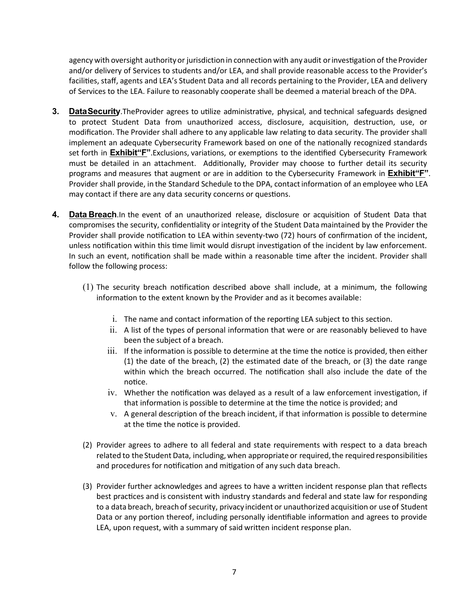agency with oversight authority or jurisdiction in connection with any audit or investigation of the Provider and/or delivery of Services to students and/or LEA, and shall provide reasonable access to the Provider's facilities, staff, agents and LEA's Student Data and all records pertaining to the Provider, LEA and delivery of Services to the LEA. Failure to reasonably cooperate shall be deemed a material breach of the DPA.

- 3. Data Security. The Provider agrees to utilize administrative, physical, and technical safeguards designed to protect Student Data from unauthorized access, disclosure, acquisition, destruction, use, or modification. The Provider shall adhere to any applicable law relating to data security. The provider shall implement an adequate Cybersecurity Framework based on one of the nationally recognized standards set forth in **Exhibit"F"**.Exclusions, variations, or exemptions to the iden�fied Cybersecurity Framework must be detailed in an attachment. Additionally, Provider may choose to further detail its security programs and measures that augment or are in addition to the Cybersecurity Framework in **Exhibit"F"**. Provider shall provide, in the Standard Schedule to the DPA, contactinformation of an employee who LEA may contact if there are any data security concerns or questions.
- **4. Data Breach**.In the event of an unauthorized release, disclosure or acquisition of Student Data that compromises the security, confidentiality or integrity of the Student Data maintained by the Provider the Provider shall provide notification to LEA within seventy-two (72) hours of confirmation of the incident, unless notification within this time limit would disrupt investigation of the incident by law enforcement. In such an event, no�fication shall be made within a reasonable time after the incident. Provider shall follow the following process:
	- $(1)$  The security breach notification described above shall include, at a minimum, the following information to the extent known by the Provider and as it becomes available:
		- i. The name and contact information of the reporting LEA subject to this section.
		- ii. A list of the types of personal information that were or are reasonably believed to have been the subject of a breach.
		- iii. If the information is possible to determine at the time the notice is provided, then either (1) the date of the breach, (2) the estimated date of the breach, or (3) the date range within which the breach occurred. The notification shall also include the date of the notice.
		- $iv.$  Whether the notification was delayed as a result of a law enforcement investigation, if that information is possible to determine at the time the notice is provided; and
		- v. A general description of the breach incident, if that information is possible to determine at the time the notice is provided.
	- (2) Provider agrees to adhere to all federal and state requirements with respect to a data breach related to the Student Data, including, when appropriate or required, the required responsibilities and procedures for notification and mitigation of any such data breach.
	- (3) Provider further acknowledges and agrees to have a wri�en incident response plan that reflects best practices and is consistent with industry standards and federal and state law for responding to a data breach, breach of security, privacy incident or unauthorized acquisition or use of Student Data or any portion thereof, including personally identifiable information and agrees to provide LEA, upon request, with a summary of said written incident response plan.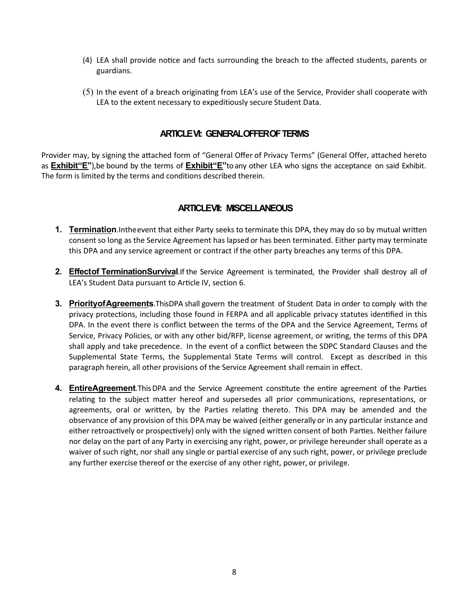- (4) LEA shall provide no�ce and facts surrounding the breach to the affected students, parents or guardians.
- $(5)$  In the event of a breach originating from LEA's use of the Service, Provider shall cooperate with LEA to the extent necessary to expeditiously secure Student Data.

#### **ARTICLEVI: GENERALOFFEROFTERMS**

Provider may, by signing the attached form of "General Offer of Privacy Terms" (General Offer, attached hereto as **Exhibit"E"**),be bound by the terms of **Exhibit"E"**toany other LEA who signs the acceptance on said Exhibit. The form is limited by the terms and conditions described therein.

#### **ARTICLEVII: MISCELLANEOUS**

- **1. Termination**. In the event that either Party seeks to terminate this DPA, they may do so by mutual written consent so long as the Service Agreement has lapsed or has been terminated. Either partymay terminate this DPA and any service agreement or contract if the other party breaches any terms of this DPA.
- **2. Effectof TerminationSurvival**.If the Service Agreement is terminated, the Provider shall destroy all of LEA's Student Data pursuant to Article IV, section 6.
- **3. PriorityofAgreements**.ThisDPA shall govern the treatment of Student Data in order to comply with the privacy protections, including those found in FERPA and all applicable privacy statutes identified in this DPA. In the event there is conflict between the terms of the DPA and the Service Agreement, Terms of Service, Privacy Policies, or with any other bid/RFP, license agreement, or writing, the terms of this DPA shall apply and take precedence. In the event of a conflict between the SDPC Standard Clauses and the Supplemental State Terms, the Supplemental State Terms will control. Except as described in this paragraph herein, all other provisions of the Service Agreement shall remain in effect.
- **4. EntireAgreement**.ThisDPA and the Service Agreement constitute the entire agreement of the Parties relating to the subject matter hereof and supersedes all prior communications, representations, or agreements, oral or written, by the Parties relating thereto. This DPA may be amended and the observance of any provision of this DPA may be waived (either generally or in any par�cular instance and either retroactively or prospectively) only with the signed written consent of both Parties. Neither failure nor delay on the part of any Party in exercising any right, power, or privilege hereunder shall operate as a waiver of such right, nor shall any single or partial exercise of any such right, power, or privilege preclude any further exercise thereof or the exercise of any other right, power, or privilege.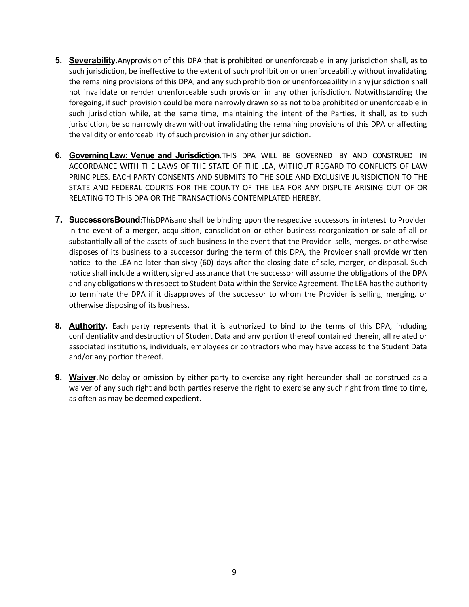- **5. Severability**.Anyprovision of this DPA that is prohibited or unenforceable in any jurisdiction shall, as to such jurisdiction, be ineffective to the extent of such prohibition or unenforceability without invalidating the remaining provisions of this DPA, and any such prohibition or unenforceability in any jurisdiction shall not invalidate or render unenforceable such provision in any other jurisdiction. Notwithstanding the foregoing, if such provision could be more narrowly drawn so as not to be prohibited or unenforceable in such jurisdiction while, at the same time, maintaining the intent of the Parties, it shall, as to such jurisdiction, be so narrowly drawn without invalidating the remaining provisions of this DPA or affecting the validity or enforceability of such provision in any other jurisdiction.
- **6. GoverningLaw; Venue and Jurisdiction**.THIS DPA WILL BE GOVERNED BY AND CONSTRUED IN ACCORDANCE WITH THE LAWS OF THE STATE OF THE LEA, WITHOUT REGARD TO CONFLICTS OF LAW PRINCIPLES. EACH PARTY CONSENTS AND SUBMITS TO THE SOLE AND EXCLUSIVE JURISDICTION TO THE STATE AND FEDERAL COURTS FOR THE COUNTY OF THE LEA FOR ANY DISPUTE ARISING OUT OF OR RELATING TO THIS DPA OR THE TRANSACTIONS CONTEMPLATED HEREBY.
- **7.** SuccessorsBound:ThisDPAisand shall be binding upon the respective successors in interest to Provider in the event of a merger, acquisition, consolidation or other business reorganization or sale of all or substantially all of the assets of such business In the event that the Provider sells, merges, or otherwise disposes of its business to a successor during the term of this DPA, the Provider shall provide written no�ce to the LEA no later than sixty (60) days after the closing date of sale, merger, or disposal. Such notice shall include a written, signed assurance that the successor will assume the obligations of the DPA and any obligations with respect to Student Data within the Service Agreement. The LEA has the authority to terminate the DPA if it disapproves of the successor to whom the Provider is selling, merging, or otherwise disposing of its business.
- **8. Authority.** Each party represents that it is authorized to bind to the terms of this DPA, including confidentiality and destruction of Student Data and any portion thereof contained therein, all related or associated institutions, individuals, employees or contractors who may have access to the Student Data and/or any portion thereof.
- **9. Waiver**.No delay or omission by either party to exercise any right hereunder shall be construed as a waiver of any such right and both parties reserve the right to exercise any such right from time to time, as often as may be deemed expedient.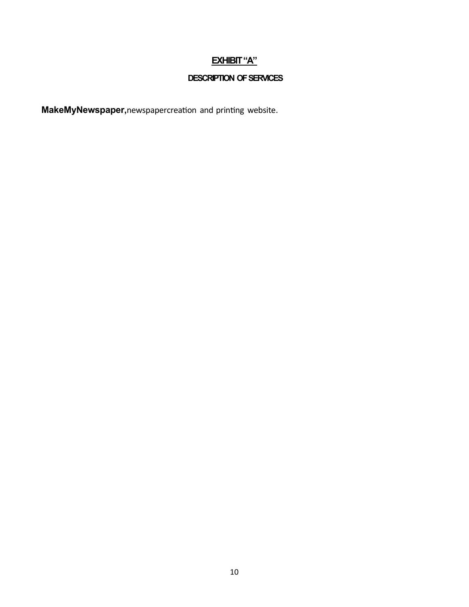## **EXHIBIT "A"**

## **DESCRIPTION OF SERVICES**

**MakeMyNewspaper,**newspapercreation and printing website.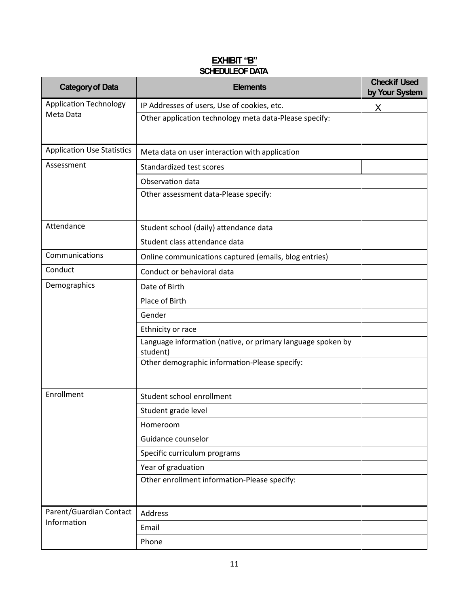#### **EXHIBIT "B" SCHEDULEOF DATA**

| <b>Category of Data</b>           | <b>Elements</b>                                                         | <b>Check if Used</b><br>by Your System |
|-----------------------------------|-------------------------------------------------------------------------|----------------------------------------|
| <b>Application Technology</b>     | IP Addresses of users, Use of cookies, etc.                             | X                                      |
| Meta Data                         | Other application technology meta data-Please specify:                  |                                        |
| <b>Application Use Statistics</b> | Meta data on user interaction with application                          |                                        |
| Assessment                        | Standardized test scores                                                |                                        |
|                                   | Observation data                                                        |                                        |
|                                   | Other assessment data-Please specify:                                   |                                        |
| Attendance                        | Student school (daily) attendance data                                  |                                        |
|                                   | Student class attendance data                                           |                                        |
| Communications                    | Online communications captured (emails, blog entries)                   |                                        |
| Conduct                           | Conduct or behavioral data                                              |                                        |
| Demographics                      | Date of Birth                                                           |                                        |
|                                   | Place of Birth                                                          |                                        |
|                                   | Gender                                                                  |                                        |
|                                   | Ethnicity or race                                                       |                                        |
|                                   | Language information (native, or primary language spoken by<br>student) |                                        |
|                                   | Other demographic information-Please specify:                           |                                        |
| Enrollment                        | Student school enrollment                                               |                                        |
|                                   | Student grade level                                                     |                                        |
|                                   | Homeroom                                                                |                                        |
|                                   | Guidance counselor                                                      |                                        |
|                                   | Specific curriculum programs                                            |                                        |
|                                   | Year of graduation                                                      |                                        |
|                                   | Other enrollment information-Please specify:                            |                                        |
| Parent/Guardian Contact           | Address                                                                 |                                        |
| Information                       | Email                                                                   |                                        |
|                                   | Phone                                                                   |                                        |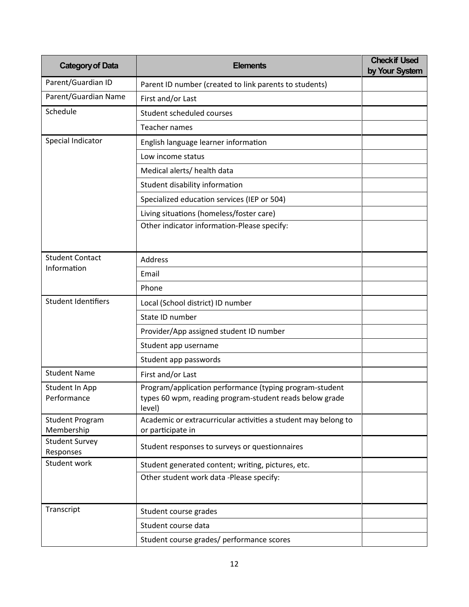| <b>Category of Data</b>              | <b>Elements</b>                                                                                                              | <b>Check if Used</b><br>by Your System |
|--------------------------------------|------------------------------------------------------------------------------------------------------------------------------|----------------------------------------|
| Parent/Guardian ID                   | Parent ID number (created to link parents to students)                                                                       |                                        |
| Parent/Guardian Name                 | First and/or Last                                                                                                            |                                        |
| Schedule                             | Student scheduled courses                                                                                                    |                                        |
|                                      | <b>Teacher names</b>                                                                                                         |                                        |
| Special Indicator                    | English language learner information                                                                                         |                                        |
|                                      | Low income status                                                                                                            |                                        |
|                                      | Medical alerts/ health data                                                                                                  |                                        |
|                                      | Student disability information                                                                                               |                                        |
|                                      | Specialized education services (IEP or 504)                                                                                  |                                        |
|                                      | Living situations (homeless/foster care)                                                                                     |                                        |
|                                      | Other indicator information-Please specify:                                                                                  |                                        |
|                                      |                                                                                                                              |                                        |
| <b>Student Contact</b>               | Address                                                                                                                      |                                        |
| Information                          | Email                                                                                                                        |                                        |
|                                      | Phone                                                                                                                        |                                        |
| <b>Student Identifiers</b>           | Local (School district) ID number                                                                                            |                                        |
|                                      | State ID number                                                                                                              |                                        |
|                                      | Provider/App assigned student ID number                                                                                      |                                        |
|                                      | Student app username                                                                                                         |                                        |
|                                      | Student app passwords                                                                                                        |                                        |
| <b>Student Name</b>                  | First and/or Last                                                                                                            |                                        |
| Student In App<br>Performance        | Program/application performance (typing program-student<br>types 60 wpm, reading program-student reads below grade<br>level) |                                        |
| <b>Student Program</b><br>Membership | Academic or extracurricular activities a student may belong to<br>or participate in                                          |                                        |
| <b>Student Survey</b><br>Responses   | Student responses to surveys or questionnaires                                                                               |                                        |
| Student work                         | Student generated content; writing, pictures, etc.                                                                           |                                        |
|                                      | Other student work data -Please specify:                                                                                     |                                        |
| Transcript                           | Student course grades                                                                                                        |                                        |
|                                      | Student course data                                                                                                          |                                        |
|                                      | Student course grades/ performance scores                                                                                    |                                        |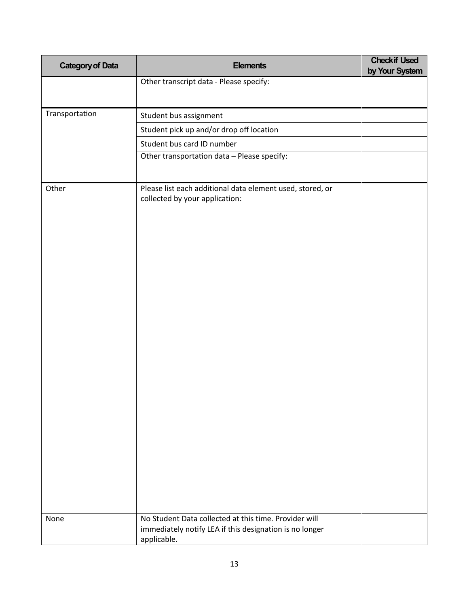| <b>Category of Data</b> | <b>Elements</b>                                                                                                                 | <b>Checkif Used</b><br>by Your System |
|-------------------------|---------------------------------------------------------------------------------------------------------------------------------|---------------------------------------|
|                         | Other transcript data - Please specify:                                                                                         |                                       |
|                         |                                                                                                                                 |                                       |
| Transportation          | Student bus assignment                                                                                                          |                                       |
|                         | Student pick up and/or drop off location                                                                                        |                                       |
|                         | Student bus card ID number                                                                                                      |                                       |
|                         | Other transportation data - Please specify:                                                                                     |                                       |
|                         |                                                                                                                                 |                                       |
| Other                   | Please list each additional data element used, stored, or<br>collected by your application:                                     |                                       |
| None                    | No Student Data collected at this time. Provider will<br>immediately notify LEA if this designation is no longer<br>applicable. |                                       |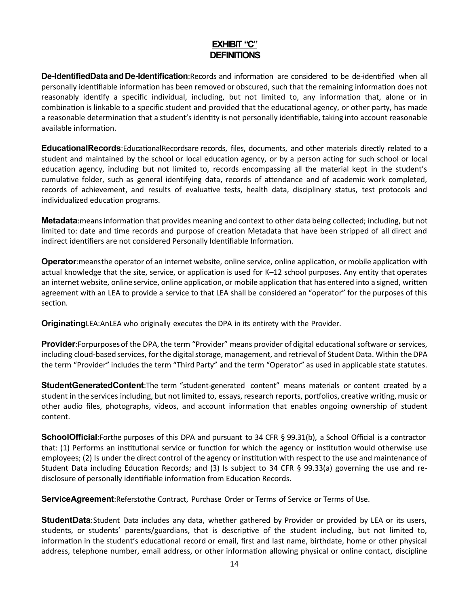## **EXHIBIT "C" DEFINITIONS**

**De-IdentifiedData and De-Identification**:Records and information are considered to be de-identified when all personally identifiable information has been removed or obscured, such that the remaining information does not reasonably iden�fy a specific individual, including, but not limited to, any information that, alone or in combination is linkable to a specific student and provided that the educational agency, or other party, has made a reasonable determination that a student's identity is not personally identifiable, taking into account reasonable available information.

**EducationalRecords**: EducationalRecordsare records, files, documents, and other materials directly related to a student and maintained by the school or local education agency, or by a person acting for such school or local education agency, including but not limited to, records encompassing all the material kept in the student's cumulative folder, such as general identifying data, records of a�endance and of academic work completed, records of achievement, and results of evaluative tests, health data, disciplinary status, test protocols and individualized education programs.

**Metadata**:meansinformation that provides meaning and context to other data being collected; including, but not limited to: date and time records and purpose of creation Metadata that have been stripped of all direct and indirect identifiers are not considered Personally Identifiable Information.

**Operator**:meansthe operator of an internet website, online service, online application, or mobile application with actual knowledge that the site, service, or application is used for K–12 school purposes. Any entity that operates an internet website, online service, online application, or mobile application that has entered into a signed, written agreement with an LEA to provide a service to that LEA shall be considered an "operator" for the purposes of this section.

**Originating**LEA:AnLEA who originally executes the DPA in its entirety with the Provider.

**Provider**:Forpurposes of the DPA, the term "Provider" means provider of digital educational software or services, including cloud-based services, for the digital storage, management, and retrieval of Student Data. Within the DPA the term "Provider" includes the term "Third Party" and the term "Operator" as used in applicable state statutes.

**StudentGeneratedContent**:The term "student-generated content" means materials or content created by a student in the services including, but not limited to, essays, research reports, portfolios, creative writing, music or other audio files, photographs, videos, and account information that enables ongoing ownership of student content.

**SchoolOfficial**:Forthe purposes of this DPA and pursuant to 34 CFR § 99.31(b), a School Official is a contractor that: (1) Performs an institutional service or function for which the agency or institution would otherwise use employees; (2) Is under the direct control of the agency or ins�tution with respect to the use and maintenance of Student Data including Education Records; and (3) Is subject to 34 CFR § 99.33(a) governing the use and redisclosure of personally identifiable information from Education Records.

**ServiceAgreement**:Referstothe Contract, Purchase Order or Terms of Service or Terms of Use.

**StudentData**:Student Data includes any data, whether gathered by Provider or provided by LEA or its users, students, or students' parents/guardians, that is descriptive of the student including, but not limited to, information in the student's educational record or email, first and last name, birthdate, home or other physical address, telephone number, email address, or other information allowing physical or online contact, discipline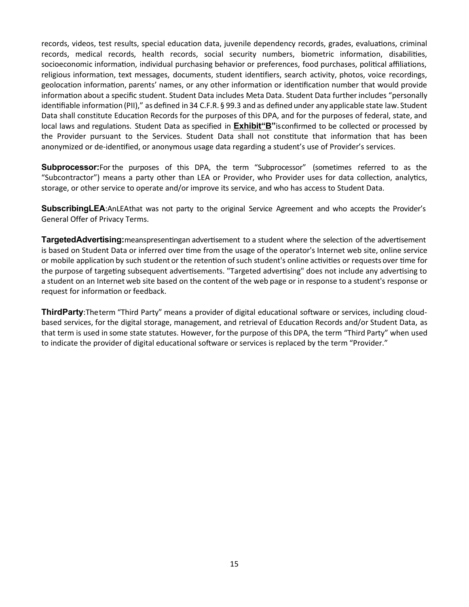records, videos, test results, special education data, juvenile dependency records, grades, evaluations, criminal records, medical records, health records, social security numbers, biometric information, disabilities, socioeconomic information, individual purchasing behavior or preferences, food purchases, political affiliations, religious information, text messages, documents, student iden�fiers, search activity, photos, voice recordings, geolocation information, parents' names, or any other information or identification number that would provide information about a specific student. Student Data includes Meta Data. Student Data further includes "personally identifiable information (PII)," as defined in 34 C.F.R. § 99.3 and as defined under any applicable state law. Student Data shall constitute Education Records for the purposes of this DPA, and for the purposes of federal, state, and local laws and regulations. Student Data as specified in **Exhibit"B"**isconfirmed to be collected or processed by the Provider pursuant to the Services. Student Data shall not constitute that information that has been anonymized or de-identified, or anonymous usage data regarding a student's use of Provider's services.

**Subprocessor:**For the purposes of this DPA, the term "Subprocessor" (sometimes referred to as the "Subcontractor") means a party other than LEA or Provider, who Provider uses for data collection, analytics, storage, or other service to operate and/or improve its service, and who has access to Student Data.

**SubscribingLEA:**AnLEAthat was not party to the original Service Agreement and who accepts the Provider's General Offer of Privacy Terms.

**TargetedAdvertising:**meanspresentingan advertisement to a student where the selection of the advertisement is based on Student Data or inferred over time from the usage of the operator's Internet web site, online service or mobile application by such student or the retention of such student's online activities or requests over time for the purpose of targeting subsequent advertisements. "Targeted advertising" does not include any advertising to a student on an Internet web site based on the content of the web page or in response to a student's response or request for information or feedback.

**ThirdParty**:Theterm "Third Party" means a provider of digital educational software or services, including cloudbased services, for the digital storage, management, and retrieval of Education Records and/or Student Data, as that term is used in some state statutes. However, forthe purpose of this DPA, the term "Third Party" when used to indicate the provider of digital educational software or services is replaced by the term "Provider."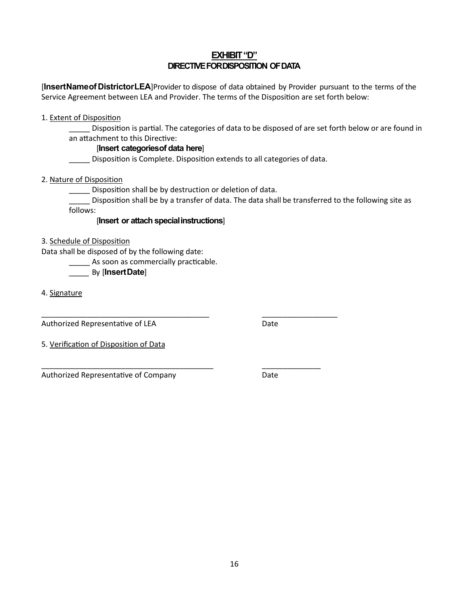#### **EXHIBIT "D" DIRECTIVE FOR DISPOSITION OF DATA**

[**InsertNameofDistrictorLEA**]Provider to dispose of data obtained by Provider pursuant to the terms of the Service Agreement between LEA and Provider. The terms of the Disposition are set forth below:

1. Extent of Disposition

Disposition is partial. The categories of data to be disposed of are set forth below or are found in an attachment to this Directive:

#### [**Insert categoriesof data here**]

\_\_\_\_\_ Disposi�on is Complete. Disposi�on extends to all categories of data.

2. Nature of Disposition

\_\_\_\_\_ Disposi�on shall be by destruction or deletion of data.

\_\_\_\_\_\_\_\_\_\_\_\_\_\_\_\_\_\_\_\_\_\_\_\_\_\_\_\_\_\_\_\_\_\_\_\_\_\_\_\_ \_\_\_\_\_\_\_\_\_\_\_\_\_\_\_\_\_\_

\_\_\_\_\_\_\_\_\_\_\_\_\_\_\_\_\_\_\_\_\_\_\_\_\_\_\_\_\_\_\_\_\_\_\_\_\_\_\_\_\_ \_\_\_\_\_\_\_\_\_\_\_\_\_\_

\_\_\_\_\_ Disposi�on shall be by a transfer of data. The data shall be transferred to the following site as follows:

#### [**Insert or attach specialinstructions**]

3. Schedule of Disposition

Data shall be disposed of by the following date:

As soon as commercially practicable.

\_\_\_\_\_ By [**InsertDate**]

4. Signature

Authorized Representative of LEA Date

5. Verification of Disposition of Data

Authorized Representative of Company Mate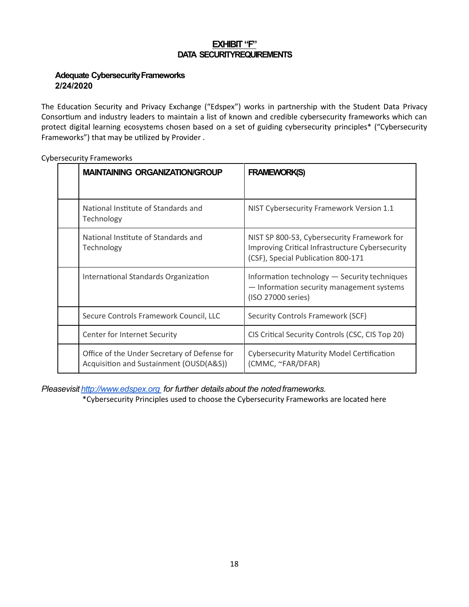#### **EXHIBIT "F" DATA SECURITYREQUIREMENTS**

#### **Adequate Cybersecurity Frameworks 2/24/2020**

The Education Security and Privacy Exchange ("Edspex") works in partnership with the Student Data Privacy Consortium and industry leaders to maintain a list of known and credible cybersecurity frameworks which can protect digital learning ecosystems chosen based on a set of guiding cybersecurity principles\* ("Cybersecurity Frameworks") that may be utilized by Provider .

| <b>MAINTAINING ORGANIZATION/GROUP</b>                                                   | <b>FRAMEWORK(S)</b>                                                                                                                  |
|-----------------------------------------------------------------------------------------|--------------------------------------------------------------------------------------------------------------------------------------|
| National Institute of Standards and<br>Technology                                       | NIST Cybersecurity Framework Version 1.1                                                                                             |
| National Institute of Standards and<br>Technology                                       | NIST SP 800-53, Cybersecurity Framework for<br>Improving Critical Infrastructure Cybersecurity<br>(CSF), Special Publication 800-171 |
| International Standards Organization                                                    | Information technology - Security techniques<br>- Information security management systems<br>(ISO 27000 series)                      |
| Secure Controls Framework Council, LLC                                                  | Security Controls Framework (SCF)                                                                                                    |
| Center for Internet Security                                                            | CIS Critical Security Controls (CSC, CIS Top 20)                                                                                     |
| Office of the Under Secretary of Defense for<br>Acquisition and Sustainment (OUSD(A&S)) | <b>Cybersecurity Maturity Model Certification</b><br>(CMMC, ~FAR/DFAR)                                                               |

Cybersecurity Frameworks

*Pleasevisit http://www.edspex.org for further details about the noted frameworks.* 

\*Cybersecurity Principles used to choose the Cybersecurity Frameworks are located here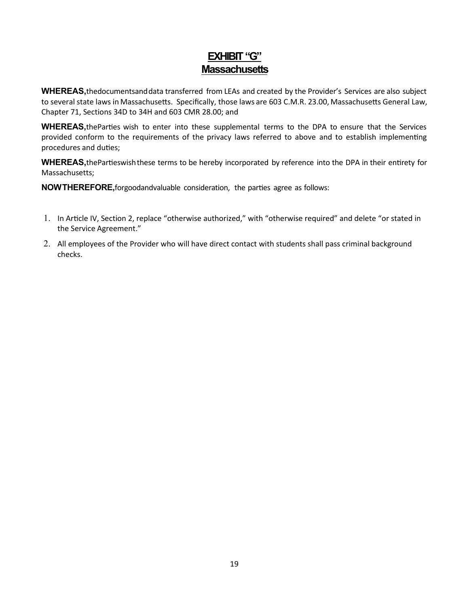## **EXHIBIT "G" Massachusetts**

**WHEREAS,**thedocumentsanddata transferred from LEAs and created by the Provider's Services are also subject to several state laws in Massachusetts. Specifically, those laws are 603 C.M.R. 23.00, Massachusetts General Law, Chapter 71, Sections 34D to 34H and 603 CMR 28.00; and

**WHEREAS**, the Parties wish to enter into these supplemental terms to the DPA to ensure that the Services provided conform to the requirements of the privacy laws referred to above and to establish implementing procedures and duties;

WHEREAS, the Partieswish these terms to be hereby incorporated by reference into the DPA in their entirety for Massachusetts;

**NOWTHEREFORE**, forgoodandvaluable consideration, the parties agree as follows:

- 1. In Article IV, Section 2, replace "otherwise authorized," with "otherwise required" and delete "or stated in the Service Agreement."
- 2. All employees of the Provider who will have direct contact with students shall pass criminal background checks.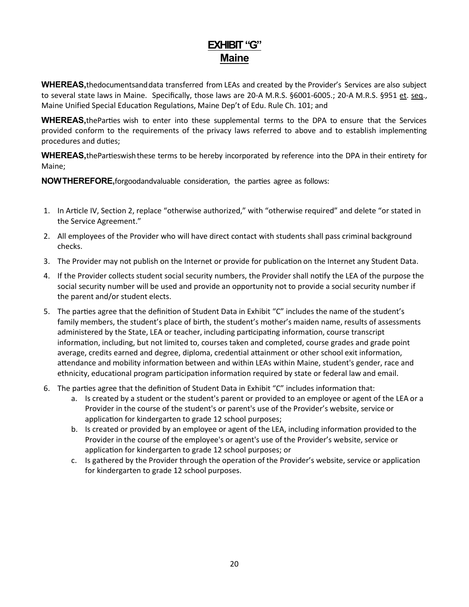## **EXHIBIT "G" Maine**

**WHEREAS,**thedocumentsanddata transferred from LEAs and created by the Provider's Services are also subject to several state laws in Maine. Specifically, those laws are 20-A M.R.S. §6001-6005.; 20-A M.R.S. §951 et. seq., Maine Unified Special Education Regulations, Maine Dep't of Edu. Rule Ch. 101; and

WHEREAS, the Parties wish to enter into these supplemental terms to the DPA to ensure that the Services provided conform to the requirements of the privacy laws referred to above and to establish implementing procedures and duties;

**WHEREAS**, the Partieswish these terms to be hereby incorporated by reference into the DPA in their entirety for Maine;

**NOWTHEREFORE**, forgoodandvaluable consideration, the parties agree as follows:

- 1. In Article IV, Section 2, replace "otherwise authorized," with "otherwise required" and delete "or stated in the Service Agreement."
- 2. All employees of the Provider who will have direct contact with students shall pass criminal background checks.
- 3. The Provider may not publish on the Internet or provide for publication on the Internet any Student Data.
- 4. If the Provider collects student social security numbers, the Provider shall notify the LEA of the purpose the social security number will be used and provide an opportunity not to provide a social security number if the parent and/or student elects.
- 5. The parties agree that the definition of Student Data in Exhibit "C" includes the name of the student's family members, the student's place of birth, the student's mother's maiden name, results of assessments administered by the State, LEA or teacher, including participating information, course transcript information, including, but not limited to, courses taken and completed, course grades and grade point average, credits earned and degree, diploma, credential attainment or other school exit information, attendance and mobility information between and within LEAs within Maine, student's gender, race and ethnicity, educational program participation information required by state or federal law and email.
- 6. The parties agree that the definition of Student Data in Exhibit " $C$ " includes information that:
	- a. Is created by a student or the student's parent or provided to an employee or agent of the LEA or a Provider in the course of the student's or parent's use of the Provider's website, service or application for kindergarten to grade 12 school purposes;
	- b. Is created or provided by an employee or agent of the LEA, including information provided to the Provider in the course of the employee's or agent's use of the Provider's website, service or application for kindergarten to grade 12 school purposes; or
	- c. Is gathered by the Provider through the operation of the Provider's website, service or application for kindergarten to grade 12 school purposes.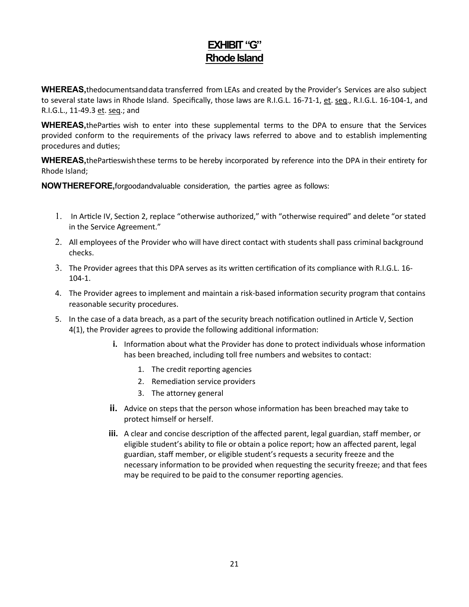## **EXHIBIT "G" Rhode Island**

**WHEREAS,**thedocumentsanddata transferred from LEAs and created by the Provider's Services are also subject to several state laws in Rhode Island. Specifically, those laws are R.I.G.L. 16-71-1, et. seq., R.I.G.L. 16-104-1, and R.I.G.L., 11-49.3 et. seq.; and

**WHEREAS**, the Parties wish to enter into these supplemental terms to the DPA to ensure that the Services provided conform to the requirements of the privacy laws referred to above and to establish implementing procedures and duties;

**WHEREAS**, the Partieswish these terms to be hereby incorporated by reference into the DPA in their entirety for Rhode Island;

**NOWTHEREFORE**, forgoodandvaluable consideration, the parties agree as follows:

- 1. In Ar�cle IV, Section 2, replace "otherwise authorized," with "otherwise required" and delete "or stated in the Service Agreement."
- 2. All employees of the Provider who will have direct contact with students shall pass criminal background checks.
- 3. The Provider agrees that this DPA serves as its written certification of its compliance with R.I.G.L. 16-104-1.
- 4. The Provider agrees to implement and maintain a risk-based information security program that contains reasonable security procedures.
- 5. In the case of a data breach, as a part of the security breach notification outlined in Article V, Section 4(1), the Provider agrees to provide the following additional information:
	- **i.** Information about what the Provider has done to protect individuals whose information has been breached, including toll free numbers and websites to contact:
		- 1. The credit reporting agencies
		- 2. Remediation service providers
		- 3. The attorney general
	- **ii.** Advice on steps that the person whose information has been breached may take to protect himself or herself.
	- **iii.** A clear and concise description of the affected parent, legal guardian, staff member, or eligible student's ability to file or obtain a police report; how an affected parent, legal guardian, staff member, or eligible student's requests a security freeze and the necessary information to be provided when requesting the security freeze; and that fees may be required to be paid to the consumer reporting agencies.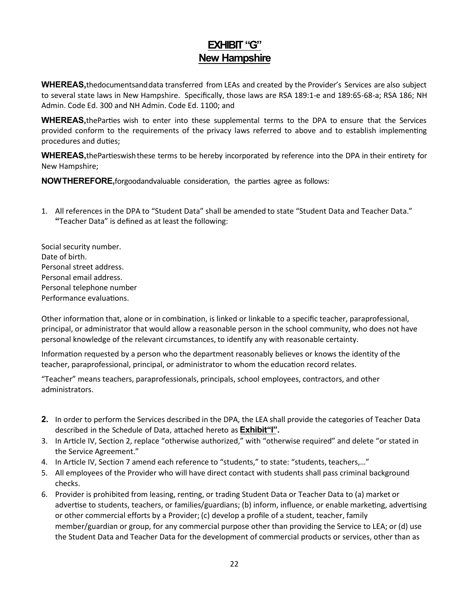## **EXHIBIT "G" New Hampshire**

**WHEREAS,**thedocumentsanddata transferred from LEAs and created by the Provider's Services are also subject to several state laws in New Hampshire. Specifically, those laws are RSA 189:1-e and 189:65-68-a; RSA 186; NH Admin. Code Ed. 300 and NH Admin. Code Ed. 1100; and

**WHEREAS**, the Parties wish to enter into these supplemental terms to the DPA to ensure that the Services provided conform to the requirements of the privacy laws referred to above and to establish implementing procedures and duties;

WHEREAS, the Partieswish these terms to be hereby incorporated by reference into the DPA in their entirety for New Hampshire;

**NOWTHEREFORE**, forgoodandvaluable consideration, the parties agree as follows:

1. All references in the DPA to "Student Data" shall be amended to state "Student Data and Teacher Data." **"**Teacher Data" is defined as at least the following:

Social security number. Date of birth. Personal street address. Personal email address. Personal telephone number Performance evaluations.

Other information that, alone or in combination, is linked or linkable to a specific teacher, paraprofessional, principal, or administrator that would allow a reasonable person in the school community, who does not have personal knowledge of the relevant circumstances, to iden�fy any with reasonable certainty.

Information requested by a person who the department reasonably believes or knows the identity of the teacher, paraprofessional, principal, or administrator to whom the education record relates.

"Teacher" means teachers, paraprofessionals, principals, school employees, contractors, and other administrators.

- **2.** In order to perform the Services described in the DPA, the LEA shall provide the categories of Teacher Data described in the Schedule of Data, attached hereto as **Exhibit"I"**.
- 3. In Article IV, Section 2, replace "otherwise authorized," with "otherwise required" and delete "or stated in the Service Agreement."
- 4. In Article IV, Section 7 amend each reference to "students," to state: "students, teachers,..."
- 5. All employees of the Provider who will have direct contact with students shall pass criminal background checks.
- 6. Provider is prohibited from leasing, renting, or trading Student Data or Teacher Data to (a) market or advertise to students, teachers, or families/guardians; (b) inform, influence, or enable marketing, advertising or other commercial efforts by a Provider; (c) develop a profile of a student, teacher, family member/guardian or group, for any commercial purpose other than providing the Service to LEA; or (d) use the Student Data and Teacher Data for the development of commercial products or services, other than as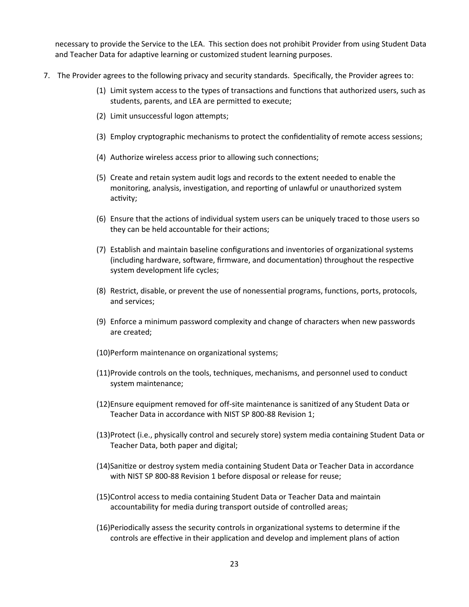necessary to provide the Service to the LEA. This section does not prohibit Provider from using Student Data and Teacher Data for adaptive learning or customized student learning purposes.

- 7. The Provider agrees to the following privacy and security standards. Specifically, the Provider agrees to:
	- (1) Limit system access to the types of transactions and functions that authorized users, such as students, parents, and LEA are permitted to execute;
	- (2) Limit unsuccessful logon attempts;
	- (3) Employ cryptographic mechanisms to protect the confidentiality of remote access sessions;
	- (4) Authorize wireless access prior to allowing such connections;
	- (5) Create and retain system audit logs and records to the extent needed to enable the monitoring, analysis, investigation, and reporting of unlawful or unauthorized system activity;
	- (6) Ensure that the actions of individual system users can be uniquely traced to those users so they can be held accountable for their actions;
	- (7) Establish and maintain baseline configurations and inventories of organizational systems (including hardware, software, firmware, and documentation) throughout the respective system development life cycles;
	- (8) Restrict, disable, or prevent the use of nonessential programs, functions, ports, protocols, and services;
	- (9) Enforce a minimum password complexity and change of characters when new passwords are created;
	- (10)Perform maintenance on organizational systems;
	- (11)Provide controls on the tools, techniques, mechanisms, and personnel used to conduct system maintenance;
	- (12)Ensure equipment removed for off-site maintenance is sani�zed of any Student Data or Teacher Data in accordance with NIST SP 800-88 Revision 1;
	- (13)Protect (i.e., physically control and securely store) system media containing Student Data or Teacher Data, both paper and digital;
	- (14)Sanitize or destroy system media containing Student Data or Teacher Data in accordance with NIST SP 800-88 Revision 1 before disposal or release for reuse;
	- (15)Control access to media containing Student Data or Teacher Data and maintain accountability for media during transport outside of controlled areas;
	- (16)Periodically assess the security controls in organiza�onal systems to determine if the controls are effective in their application and develop and implement plans of action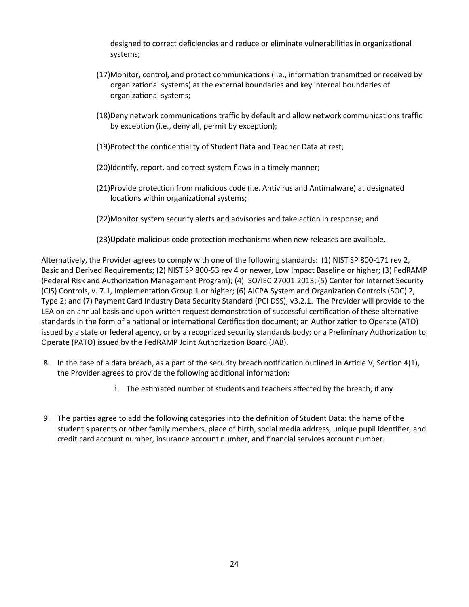designed to correct deficiencies and reduce or eliminate vulnerabilities in organizational systems;

- (17)Monitor, control, and protect communications (i.e., information transmitted or received by organizational systems) at the external boundaries and key internal boundaries of organizational systems;
- (18)Deny network communications traffic by default and allow network communications traffic by exception (i.e., deny all, permit by exception);
- (19)Protect the confidentiality of Student Data and Teacher Data at rest;
- (20)Identify, report, and correct system flaws in a timely manner;
- (21)Provide protection from malicious code (i.e. Antivirus and An�malware) at designated locations within organizational systems;
- (22)Monitor system security alerts and advisories and take action in response; and
- (23)Update malicious code protection mechanisms when new releases are available.

Alternatively, the Provider agrees to comply with one of the following standards: (1) NIST SP 800-171 rev 2, Basic and Derived Requirements; (2) NIST SP 800-53 rev 4 or newer, Low Impact Baseline or higher; (3) FedRAMP (Federal Risk and Authoriza�on Management Program); (4) ISO/IEC 27001:2013; (5) Center for Internet Security (CIS) Controls, v. 7.1, Implementation Group 1 or higher; (6) AICPA System and Organization Controls (SOC) 2, Type 2; and (7) Payment Card Industry Data Security Standard (PCI DSS), v3.2.1. The Provider will provide to the LEA on an annual basis and upon written request demonstration of successful certification of these alternative standards in the form of a national or international Certification document; an Authorization to Operate (ATO) issued by a state or federal agency, or by a recognized security standards body; or a Preliminary Authorization to Operate (PATO) issued by the FedRAMP Joint Authorization Board (JAB).

- 8. In the case of a data breach, as a part of the security breach notification outlined in Article V, Section 4(1), the Provider agrees to provide the following additional information:
	- i. The estimated number of students and teachers affected by the breach, if any.
- 9. The parties agree to add the following categories into the definition of Student Data: the name of the student's parents or other family members, place of birth, social media address, unique pupil iden�fier, and credit card account number, insurance account number, and financial services account number.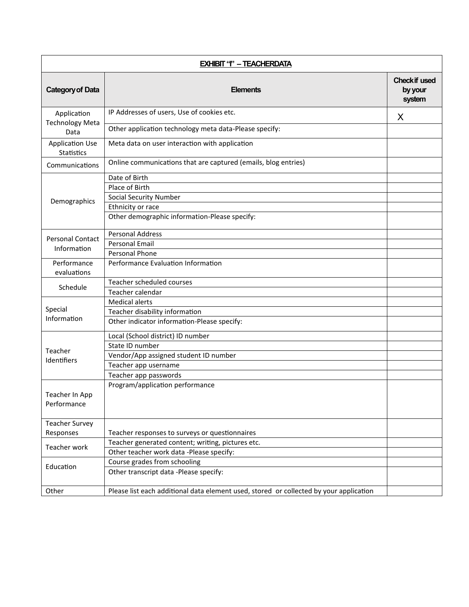| <b>EXHIBIT ''' - TEACHERDATA</b>      |                                                                                        |                                           |
|---------------------------------------|----------------------------------------------------------------------------------------|-------------------------------------------|
| <b>Category of Data</b>               | <b>Elements</b>                                                                        | <b>Check if used</b><br>by your<br>system |
| Application<br><b>Technology Meta</b> | IP Addresses of users, Use of cookies etc.                                             | X                                         |
| Data                                  | Other application technology meta data-Please specify:                                 |                                           |
| <b>Application Use</b><br>Statistics  | Meta data on user interaction with application                                         |                                           |
| Communications                        | Online communications that are captured (emails, blog entries)                         |                                           |
|                                       | Date of Birth                                                                          |                                           |
|                                       | Place of Birth                                                                         |                                           |
| Demographics                          | <b>Social Security Number</b>                                                          |                                           |
|                                       | Ethnicity or race                                                                      |                                           |
|                                       | Other demographic information-Please specify:                                          |                                           |
| <b>Personal Contact</b>               | <b>Personal Address</b>                                                                |                                           |
| Information                           | <b>Personal Email</b>                                                                  |                                           |
|                                       | Personal Phone                                                                         |                                           |
| Performance<br>evaluations            | Performance Evaluation Information                                                     |                                           |
|                                       | Teacher scheduled courses                                                              |                                           |
| Schedule                              | Teacher calendar                                                                       |                                           |
|                                       | <b>Medical alerts</b>                                                                  |                                           |
| Special                               | Teacher disability information                                                         |                                           |
| Information                           | Other indicator information-Please specify:                                            |                                           |
|                                       | Local (School district) ID number                                                      |                                           |
| Teacher                               | State ID number                                                                        |                                           |
| Identifiers                           | Vendor/App assigned student ID number                                                  |                                           |
|                                       | Teacher app username                                                                   |                                           |
|                                       | Teacher app passwords                                                                  |                                           |
| Teacher In App<br>Performance         | Program/application performance                                                        |                                           |
| <b>Teacher Survey</b>                 |                                                                                        |                                           |
| Responses                             | Teacher responses to surveys or questionnaires                                         |                                           |
| Teacher work                          | Teacher generated content; writing, pictures etc.                                      |                                           |
|                                       | Other teacher work data -Please specify:                                               |                                           |
| Education                             | Course grades from schooling                                                           |                                           |
|                                       | Other transcript data -Please specify:                                                 |                                           |
| Other                                 | Please list each additional data element used, stored or collected by your application |                                           |